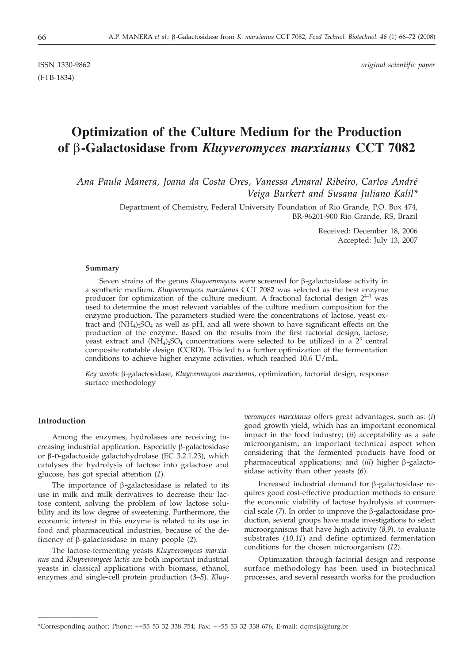(FTB-1834)

ISSN 1330-9862 *original scientific paper*

# **Optimization of the Culture Medium for the Production of** *b***-Galactosidase from** *Kluyveromyces marxianus* **CCT 7082**

*Ana Paula Manera, Joana da Costa Ores, Vanessa Amaral Ribeiro, Carlos André Veiga Burkert and Susana Juliano Kalil\**

> Department of Chemistry, Federal University Foundation of Rio Grande, P.O. Box 474, BR-96201-900 Rio Grande, RS, Brazil

> > Received: December 18, 2006 Accepted: July 13, 2007

#### **Summary**

Seven strains of the genus *Kluyveromyces* were screened for  $\beta$ -galactosidase activity in a synthetic medium. *Kluyveromyces marxianus* CCT 7082 was selected as the best enzyme producer for optimization of the culture medium. A fractional factorial design  $2^{4-1}$  was used to determine the most relevant variables of the culture medium composition for the enzyme production. The parameters studied were the concentrations of lactose, yeast extract and  $(NH_4)_2SO_4$  as well as pH, and all were shown to have significant effects on the production of the enzyme. Based on the results from the first factorial design, lactose, yeast extract and  $(NH_4)_2SO_4$  concentrations were selected to be utilized in a  $2^3$  central composite rotatable design (CCRD). This led to a further optimization of the fermentation conditions to achieve higher enzyme activities, which reached 10.6 U/mL.

*Key words*: b-galactosidase, *Kluyveromyces marxianus*, optimization, factorial design, response surface methodology

## **Introduction**

Among the enzymes, hydrolases are receiving increasing industrial application. Especially  $\beta$ -galactosidase or  $\beta$ -D-galactoside galactohydrolase (EC 3.2.1.23), which catalyses the hydrolysis of lactose into galactose and glucose, has got special attention (*1*).

The importance of  $\beta$ -galactosidase is related to its use in milk and milk derivatives to decrease their lactose content, solving the problem of low lactose solubility and its low degree of sweetening. Furthermore, the economic interest in this enzyme is related to its use in food and pharmaceutical industries, because of the deficiency of b-galactosidase in many people (*2*).

The lactose-fermenting yeasts *Kluyveromyces marxianus* and *Kluyveromyces lactis* are both important industrial yeasts in classical applications with biomass, ethanol, enzymes and single-cell protein production (*3–5*). *Kluy-* *veromyces marxianus* offers great advantages, such as: (*i*) good growth yield, which has an important economical impact in the food industry; (*ii*) acceptability as a safe microorganism, an important technical aspect when considering that the fermented products have food or pharmaceutical applications; and (*iii*) higher β-galactosidase activity than other yeasts (*6*).

Increased industrial demand for  $\beta$ -galactosidase requires good cost-effective production methods to ensure the economic viability of lactose hydrolysis at commercial scale  $(7)$ . In order to improve the  $\beta$ -galactosidase production, several groups have made investigations to select microorganisms that have high activity (*8,9*), to evaluate substrates (*10,11*) and define optimized fermentation conditions for the chosen microorganism (*12*).

Optimization through factorial design and response surface methodology has been used in biotechnical processes, and several research works for the production

<sup>\*</sup>Corresponding author; Phone: ++55 53 32 338 754; Fax: ++55 53 32 338 676; E-mail: dqmsjk*@*furg.br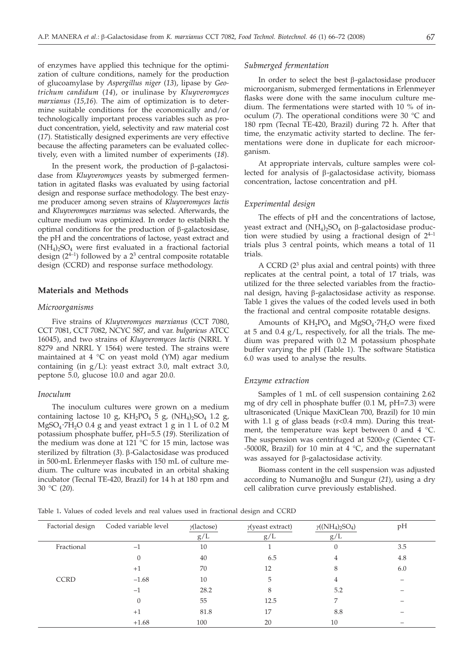of enzymes have applied this technique for the optimization of culture conditions, namely for the production of glucoamylase by *Aspergillus niger* (*13*), lipase by *Geotrichum candidum* (*14*), or inulinase by *Kluyveromyces marxianus* (*15*,*16*)*.* The aim of optimization is to determine suitable conditions for the economically and/or technologically important process variables such as product concentration, yield, selectivity and raw material cost (*17*). Statistically designed experiments are very effective because the affecting parameters can be evaluated collectively, even with a limited number of experiments (*18*).

In the present work, the production of  $\beta$ -galactosidase from *Kluyveromyces* yeasts by submerged fermentation in agitated flasks was evaluated by using factorial design and response surface methodology. The best enzyme producer among seven strains of *Kluyveromyces lactis* and *Kluyveromyces marxianus* was selected. Afterwards, the culture medium was optimized. In order to establish the optimal conditions for the production of  $\beta$ -galactosidase, the pH and the concentrations of lactose, yeast extract and  $(NH_4)$ <sub>2</sub>SO<sub>4</sub> were first evaluated in a fractional factorial design  $(2^{4-1})$  followed by a  $2^3$  central composite rotatable design (CCRD) and response surface methodology.

## **Materials and Methods**

### *Microorganisms*

Five strains of *Kluyveromyces marxianus* (CCT 7080, CCT 7081, CCT 7082, NCYC 587, and var. *bulgaricus* ATCC 16045), and two strains of *Kluyveromyces lactis* (NRRL Y 8279 and NRRL Y 1564) were tested. The strains were maintained at 4  $\degree$ C on yeast mold (YM) agar medium containing (in g/L): yeast extract 3.0, malt extract 3.0, peptone 5.0, glucose 10.0 and agar 20.0.

# *Inoculum*

The inoculum cultures were grown on a medium containing lactose 10 g,  $KH_2PO_4$  5 g,  $(NH_4)_2SO_4$  1.2 g,  $MgSO<sub>4</sub>·7H<sub>2</sub>O$  0.4 g and yeast extract 1 g in 1 L of 0.2 M potassium phosphate buffer, pH=5.5 (*19*). Sterilization of the medium was done at 121 °C for 15 min, lactose was sterilized by filtration (3). β-Galactosidase was produced in 500-mL Erlenmeyer flasks with 150 mL of culture medium. The culture was incubated in an orbital shaking incubator (Tecnal TE-420, Brazil) for 14 h at 180 rpm and 30 °C (*20*).

#### *Submerged fermentation*

In order to select the best  $\beta$ -galactosidase producer microorganism, submerged fermentations in Erlenmeyer flasks were done with the same inoculum culture medium. The fermentations were started with 10 % of inoculum (*7*). The operational conditions were 30 °C and 180 rpm (Tecnal TE-420, Brazil) during 72 h. After that time, the enzymatic activity started to decline. The fermentations were done in duplicate for each microorganism.

At appropriate intervals, culture samples were collected for analysis of  $\beta$ -galactosidase activity, biomass concentration, lactose concentration and pH.

#### *Experimental design*

The effects of pH and the concentrations of lactose, yeast extract and  $(NH_4)$ ,  $SO_4$  on  $\beta$ -galactosidase production were studied by using a fractional design of  $2^{4-1}$ trials plus 3 central points, which means a total of 11 trials.

A CCRD  $(2^3$  plus axial and central points) with three replicates at the central point, a total of 17 trials, was utilized for the three selected variables from the fractional design, having b-galactosidase activity as response. Table 1 gives the values of the coded levels used in both the fractional and central composite rotatable designs.

Amounts of KH<sub>2</sub>PO<sub>4</sub> and MgSO<sub>4</sub>⋅7H<sub>2</sub>O were fixed at 5 and  $0.4$  g/L, respectively, for all the trials. The medium was prepared with 0.2 M potassium phosphate buffer varying the pH (Table 1). The software Statistica 6.0 was used to analyse the results.

#### *Enzyme extraction*

Samples of 1 mL of cell suspension containing 2.62 mg of dry cell in phosphate buffer (0.1 M, pH=7.3) were ultrasonicated (Unique MaxiClean 700, Brazil) for 10 min with 1.1 g of glass beads  $(r<0.4$  mm). During this treatment, the temperature was kept between 0 and 4  $^{\circ}$ C. The suspension was centrifuged at  $5200 \times g$  (Cientec CT--5000R, Brazil) for 10 min at 4  $^{\circ}$ C, and the supernatant was assayed for  $\beta$ -galactosidase activity.

Biomass content in the cell suspension was adjusted according to Numanoðlu and Sungur (*21*), using a dry cell calibration curve previously established.

Table 1**.** Values of coded levels and real values used in fractional design and CCRD

| Factorial design | Coded variable level | $\gamma$ (lactose) | $\gamma$ (yeast extract) | $y(NH_4)$ <sub>2</sub> SO <sub>4</sub> ) | pH  |
|------------------|----------------------|--------------------|--------------------------|------------------------------------------|-----|
|                  |                      | g/L                | g/L                      | g/L                                      |     |
| Fractional       | -                    | 10                 |                          | 0                                        | 3.5 |
|                  |                      | 40                 | 6.5                      |                                          | 4.8 |
|                  | $+1$                 | 70                 | 12                       | 8                                        | 6.0 |
| <b>CCRD</b>      | $-1.68$              | 10                 | 5                        |                                          |     |
|                  | $^{-1}$              | 28.2               | 8                        | 5.2                                      |     |
|                  | 0                    | 55                 | 12.5                     | 7                                        |     |
|                  | $+1$                 | 81.8               | 17                       | 8.8                                      |     |
|                  | $+1.68$              | 100                | 20                       | 10                                       |     |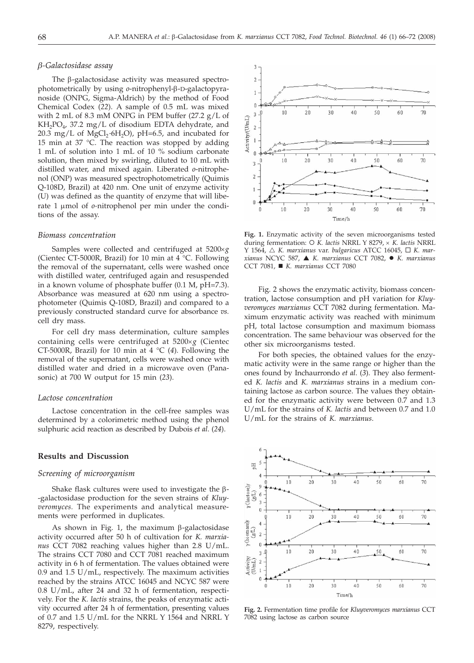#### *b-Galactosidase assay*

The  $\beta$ -galactosidase activity was measured spectrophotometrically by using *o*-nitrophenyl-β-D-galactopyranoside (ONPG, Sigma-Aldrich) by the method of Food Chemical Codex (*22*). A sample of 0.5 mL was mixed with 2 mL of 8.3 mM ONPG in PEM buffer (27.2 g/L of  $KH_2PO_4$ , 37.2 mg/L of disodium EDTA dehydrate, and 20.3 mg/L of MgCl<sub>2</sub>⋅6H<sub>2</sub>O), pH=6.5, and incubated for 15 min at 37 °C. The reaction was stopped by adding 1 mL of solution into 1 mL of 10 % sodium carbonate solution, then mixed by swirling, diluted to 10 mL with distilled water, and mixed again. Liberated *o*-nitrophenol (ONP) was measured spectrophotometrically (Quimis Q-108D, Brazil) at 420 nm. One unit of enzyme activity (U) was defined as the quantity of enzyme that will liberate 1 µmol of *o*-nitrophenol per min under the conditions of the assay.

## *Biomass concentration*

Samples were collected and centrifuged at 5200×g (Cientec CT-5000R, Brazil) for 10 min at 4 °C. Following the removal of the supernatant, cells were washed once with distilled water, centrifuged again and resuspended in a known volume of phosphate buffer (0.1 M, pH=7.3). Absorbance was measured at 620 nm using a spectrophotometer (Quimis Q-108D, Brazil) and compared to a previously constructed standard curve for absorbance *vs.* cell dry mass.

For cell dry mass determination, culture samples containing cells were centrifuged at 5200×g (Cientec CT-5000R, Brazil) for 10 min at 4 °C (*4*). Following the removal of the supernatant, cells were washed once with distilled water and dried in a microwave oven (Panasonic) at 700 W output for 15 min (*23*).

### *Lactose concentration*

Lactose concentration in the cell-free samples was determined by a colorimetric method using the phenol sulphuric acid reaction as described by Dubois *et al*. (*24*).

## **Results and Discussion**

### *Screening of microorganism*

Shake flask cultures were used to investigate the  $\beta$ --galactosidase production for the seven strains of *Kluyveromyces.* The experiments and analytical measurements were performed in duplicates.

As shown in Fig. 1, the maximum  $\beta$ -galactosidase activity occurred after 50 h of cultivation for *K. marxianus* CCT 7082 reaching values higher than 2.8 U/mL. The strains CCT 7080 and CCT 7081 reached maximum activity in 6 h of fermentation. The values obtained were 0.9 and 1.5 U/mL, respectively. The maximum activities reached by the strains ATCC 16045 and NCYC 587 were 0.8 U/mL, after 24 and 32 h of fermentation, respectively. For the *K. lactis* strains, the peaks of enzymatic activity occurred after 24 h of fermentation, presenting values of 0.7 and 1.5 U/mL for the NRRL Y 1564 and NRRL Y 8279, respectively.



**Fig. 1.** Enzymatic activity of the seven microorganisms tested during fermentation: O K. lactis NRRL Y 8279, × K. lactis NRRL  $Y$  1564, △ *K. marxianus var. bulgaricus* ATCC 16045, □ *K. marxianus* NCYC 587, - *K. marxianus* CCT 7082, *K. marxianus* CCT 7081, *K. marxianus* CCT 7080

Fig. 2 shows the enzymatic activity, biomass concentration, lactose consumption and pH variation for *Kluyveromyces marxianus* CCT 7082 during fermentation. Maximum enzymatic activity was reached with minimum pH, total lactose consumption and maximum biomass concentration. The same behaviour was observed for the other six microorganisms tested.

For both species, the obtained values for the enzymatic activity were in the same range or higher than the ones found by Inchaurrondo *et al*. (*3*). They also fermented *K. lactis* and *K. marxianus* strains in a medium containing lactose as carbon source. The values they obtained for the enzymatic activity were between 0.7 and 1.3 U/mL for the strains of *K. lactis* and between 0.7 and 1.0 U/mL for the strains of *K. marxianus*.



**Fig. 2.** Fermentation time profile for *Kluyveromyces marxianus* CCT 7082 using lactose as carbon source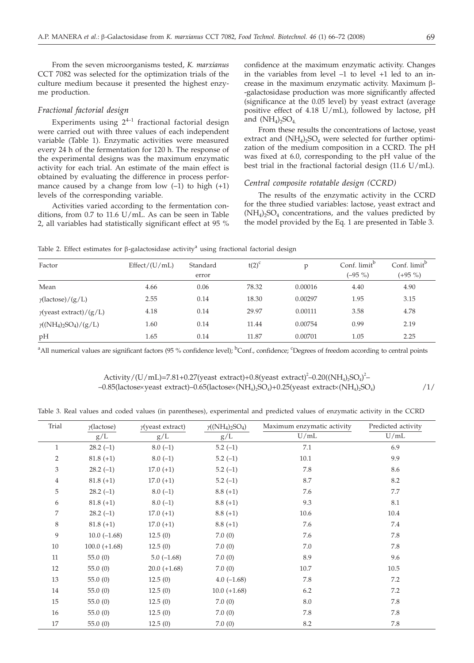From the seven microorganisms tested, *K. marxianus* CCT 7082 was selected for the optimization trials of the culture medium because it presented the highest enzyme production.

## *Fractional factorial design*

Experiments using  $2^{4-1}$  fractional factorial design were carried out with three values of each independent variable (Table 1). Enzymatic activities were measured every 24 h of the fermentation for 120 h. The response of the experimental designs was the maximum enzymatic activity for each trial. An estimate of the main effect is obtained by evaluating the difference in process performance caused by a change from low  $(-1)$  to high  $(+1)$ levels of the corresponding variable.

Activities varied according to the fermentation conditions, from 0.7 to 11.6 U/mL. As can be seen in Table 2, all variables had statistically significant effect at 95 %

confidence at the maximum enzymatic activity. Changes in the variables from level –1 to level +1 led to an increase in the maximum enzymatic activity. Maximum  $\beta$ --galactosidase production was more significantly affected (significance at the 0.05 level) by yeast extract (average positive effect of 4.18 U/mL), followed by lactose, pH and  $(NH_4)$ <sub>2</sub>SO<sub>4</sub>.

From these results the concentrations of lactose, yeast extract and  $(NH_4)$ <sub>2</sub>SO<sub>4</sub> were selected for further optimization of the medium composition in a CCRD. The pH was fixed at 6.0, corresponding to the pH value of the best trial in the fractional factorial design (11.6 U/mL).

# *Central composite rotatable design (CCRD)*

The results of the enzymatic activity in the CCRD for the three studied variables: lactose, yeast extract and  $(NH_4)_2SO_4$  concentrations, and the values predicted by the model provided by the Eq. 1 are presented in Table 3.

Table 2. Effect estimates for  $\beta$ -galactosidase activity<sup>a</sup> using fractional factorial design

| Factor                         | Effect/(U/mL) | Standard | $t(2)^c$ | p       | Conf. limit <sup>b</sup> | Conf. limit <sup>b</sup> |
|--------------------------------|---------------|----------|----------|---------|--------------------------|--------------------------|
|                                |               | error    |          |         | $(-95\% )$               | $(+95\%)$                |
| Mean                           | 4.66          | 0.06     | 78.32    | 0.00016 | 4.40                     | 4.90                     |
| $\gamma$ (lactose)/(g/L)       | 2.55          | 0.14     | 18.30    | 0.00297 | 1.95                     | 3.15                     |
| $\gamma$ (yeast extract)/(g/L) | 4.18          | 0.14     | 29.97    | 0.00111 | 3.58                     | 4.78                     |
| $\gamma(NH_4)_2SO_4)/(g/L)$    | 1.60          | 0.14     | 11.44    | 0.00754 | 0.99                     | 2.19                     |
| pH                             | 1.65          | 0.14     | 11.87    | 0.00701 | 1.05                     | 2.25                     |

<sup>a</sup>All numerical values are significant factors (95 % confidence level);  ${}^{\text{b}}$ Conf., confidence; <sup>c</sup>Degrees of freedom according to central points

Activity/(U/mL)=7.81+0.27(yeast extract)+0.8(yeast extract)<sup>2</sup>-0.20((NH<sub>4</sub>)<sub>2</sub>SO<sub>4</sub>)<sup>2</sup>- $-0.85$ (lactose $\times$ yeast extract) $-0.65$ (lactose $\times$ (NH<sub>4</sub>)<sub>2</sub>SO<sub>4</sub>)+0.25(yeast extract $\times$ (NH<sub>4</sub>)<sub>2</sub>SO<sub>4</sub>) /1/

Table 3. Real values and coded values (in parentheses), experimental and predicted values of enzymatic activity in the CCRD

| Trial          | $\gamma$ (lactose) | $y$ (yeast extract) | $y(NH_4)_2SO_4$ | Maximum enzymatic activity | Predicted activity |  |
|----------------|--------------------|---------------------|-----------------|----------------------------|--------------------|--|
|                | g/L                | g/L                 | g/L             | U/mL                       | U/mL               |  |
| $\mathbf{1}$   | $28.2(-1)$         | $8.0(-1)$           | $5.2(-1)$       | 7.1                        | 6.9                |  |
| $\overline{2}$ | $81.8(+1)$         | $8.0(-1)$           | $5.2(-1)$       | 10.1                       | 9.9                |  |
| 3              | $28.2(-1)$         | $17.0 (+1)$         | $5.2(-1)$       | 7.8                        | 8.6                |  |
| 4              | $81.8 (+1)$        | $17.0 (+1)$         | $5.2(-1)$       | $8.7\,$                    | 8.2                |  |
| 5              | $28.2(-1)$         | $8.0(-1)$           | $8.8 (+1)$      | 7.6                        | $7.7\,$            |  |
| 6              | $81.8(+1)$         | $8.0(-1)$           | $8.8(+1)$       | 9.3                        | 8.1                |  |
| 7              | $28.2(-1)$         | $17.0 (+1)$         | $8.8(+1)$       | 10.6                       | 10.4               |  |
| 8              | $81.8(+1)$         | $17.0 (+1)$         | $8.8(+1)$       | 7.6                        | 7.4                |  |
| 9              | $10.0(-1.68)$      | 12.5(0)             | 7.0(0)          | 7.6                        | 7.8                |  |
| 10             | $100.0 (+1.68)$    | 12.5(0)             | 7.0(0)          | 7.0                        | 7.8                |  |
| 11             | 55.0(0)            | $5.0(-1.68)$        | 7.0(0)          | 8.9                        | 9.6                |  |
| 12             | 55.0(0)            | $20.0 (+1.68)$      | 7.0(0)          | 10.7                       | 10.5               |  |
| 13             | 55.0(0)            | 12.5(0)             | $4.0(-1.68)$    | 7.8                        | 7.2                |  |
| 14             | 55.0(0)            | 12.5(0)             | $10.0 (+1.68)$  | 6.2                        | 7.2                |  |
| 15             | 55.0(0)            | 12.5(0)             | 7.0(0)          | 8.0                        | 7.8                |  |
| 16             | 55.0(0)            | 12.5(0)             | 7.0(0)          | 7.8                        | 7.8                |  |
| 17             | 55.0(0)            | 12.5(0)             | 7.0(0)          | 8.2                        | 7.8                |  |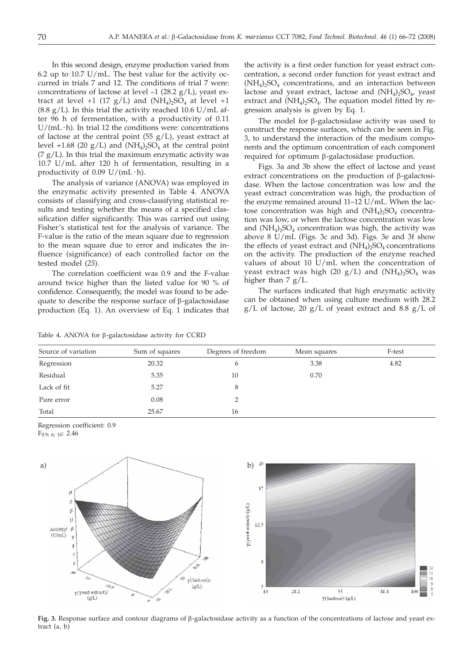In this second design, enzyme production varied from 6.2 up to 10.7 U/mL. The best value for the activity occurred in trials 7 and 12. The conditions of trial 7 were: concentrations of lactose at level  $-1$  (28.2 g/L), yeast extract at level +1 (17  $g/L$ ) and (NH<sub>4</sub>)<sub>2</sub>SO<sub>4</sub> at level +1  $(8.8 \text{ g/L})$ . In this trial the activity reached 10.6 U/mL after 96 h of fermentation, with a productivity of 0.11  $U/(mL \cdot h)$ . In trial 12 the conditions were: concentrations of lactose at the central point (55  $g/L$ ), yeast extract at level +1.68 (20 g/L) and  $(NH_4)_2SO_4$  at the central point  $(7 g/L)$ . In this trial the maximum enzymatic activity was 10.7 U/mL after 120 h of fermentation, resulting in a productivity of  $0.09 \text{ U}/(\text{mL} \cdot \text{h})$ .

The analysis of variance (ANOVA) was employed in the enzymatic activity presented in Table 4. ANOVA consists of classifying and cross-classifying statistical results and testing whether the means of a specified classification differ significantly. This was carried out using Fisher's statistical test for the analysis of variance. The F-value is the ratio of the mean square due to regression to the mean square due to error and indicates the influence (significance) of each controlled factor on the tested model (*25*).

The correlation coefficient was 0.9 and the F-value around twice higher than the listed value for 90 % of confidence. Consequently, the model was found to be adequate to describe the response surface of  $\beta$ -galactosidase production (Eq. 1). An overview of Eq. 1 indicates that

the activity is a first order function for yeast extract concentration, a second order function for yeast extract and  $(NH_4)_2SO_4$  concentrations, and an interaction between lactose and yeast extract, lactose and  $(NH_4)_2SO_4$ , yeast extract and  $(NH_4)$ ,  $SO_4$ . The equation model fitted by regression analysis is given by Eq. 1.

The model for  $\beta$ -galactosidase activity was used to construct the response surfaces, which can be seen in Fig. 3, to understand the interaction of the medium components and the optimum concentration of each component required for optimum  $\beta$ -galactosidase production.

Figs. 3a and 3b show the effect of lactose and yeast extract concentrations on the production of  $\beta$ -galactosidase. When the lactose concentration was low and the yeast extract concentration was high, the production of the enzyme remained around 11–12 U/mL. When the lactose concentration was high and  $(NH_4)_2SO_4$  concentration was low, or when the lactose concentration was low and  $(NH_4)$ <sub>2</sub>SO<sub>4</sub> concentration was high, the activity was above 8 U/mL (Figs. 3c and 3d). Figs. 3e and 3f show the effects of yeast extract and  $(NH_4)_2SO_4$  concentrations on the activity. The production of the enzyme reached values of about 10 U/mL when the concentration of yeast extract was high (20  $g/L$ ) and  $(NH<sub>4</sub>)<sub>2</sub>SO<sub>4</sub>$  was higher than 7 g/L.

The surfaces indicated that high enzymatic activity can be obtained when using culture medium with 28.2  $g/L$  of lactose, 20  $g/L$  of yeast extract and 8.8  $g/L$  of

#### Table 4. ANOVA for  $\beta$ -galactosidase activity for CCRD

| Source of variation | Sum of squares | Degrees of freedom | Mean squares | F-test |
|---------------------|----------------|--------------------|--------------|--------|
| Regression          | 20.32          | 6                  | 3.38         | 4.82   |
| Residual            | 5.35           | 10                 | 0.70         |        |
| Lack of fit         | 5.27           |                    |              |        |
| Pure error          | 0.08           | 2                  |              |        |
| Total               | 25.67          | 16                 |              |        |

Regression coefficient: 0.9

F0.9; 6; 10: 2.46



**Fig. 3.** Response surface and contour diagrams of b-galactosidase activity as a function of the concentrations of lactose and yeast extract (a, b)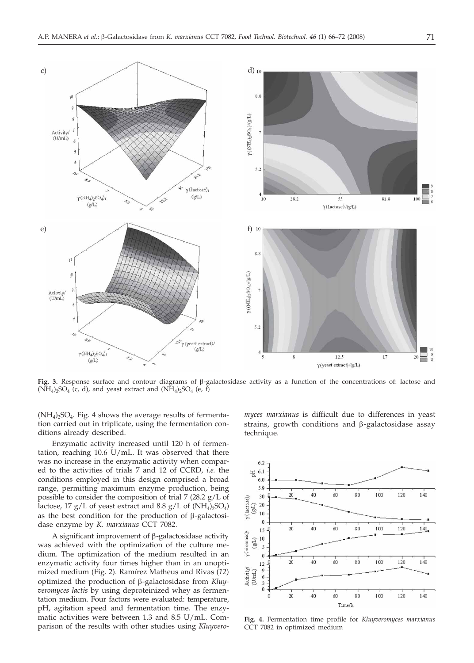

**Fig. 3.** Response surface and contour diagrams of b-galactosidase activity as a function of the concentrations of: lactose and  $(NH_4)_2SO_4$  (c, d), and yeast extract and  $(NH_4)_2SO_4$  (e, f)

 $(NH_4)$ <sub>2</sub>SO<sub>4</sub>. Fig. 4 shows the average results of fermentation carried out in triplicate, using the fermentation conditions already described.

Enzymatic activity increased until 120 h of fermentation, reaching 10.6 U/mL. It was observed that there was no increase in the enzymatic activity when compared to the activities of trials 7 and 12 of CCRD, *i.e.* the conditions employed in this design comprised a broad range, permitting maximum enzyme production, being possible to consider the composition of trial 7 (28.2 g/L of lactose, 17 g/L of yeast extract and 8.8 g/L of  $(NH_4)_2SO_4$ ) as the best condition for the production of  $\beta$ -galactosidase enzyme by *K. marxianus* CCT 7082.

A significant improvement of  $\beta$ -galactosidase activity was achieved with the optimization of the culture medium. The optimization of the medium resulted in an enzymatic activity four times higher than in an unoptimized medium (Fig. 2). Ramírez Matheus and Rivas (*12*) optimized the production of b-galactosidase from *Kluyveromyces lactis* by using deproteinized whey as fermentation medium. Four factors were evaluated: temperature, pH, agitation speed and fermentation time. The enzymatic activities were between 1.3 and 8.5 U/mL. Comparison of the results with other studies using *Kluyvero-* *myces marxianus* is difficult due to differences in yeast strains, growth conditions and  $\beta$ -galactosidase assay technique.



**Fig. 4.** Fermentation time profile for *Kluyveromyces marxianus* CCT 7082 in optimized medium